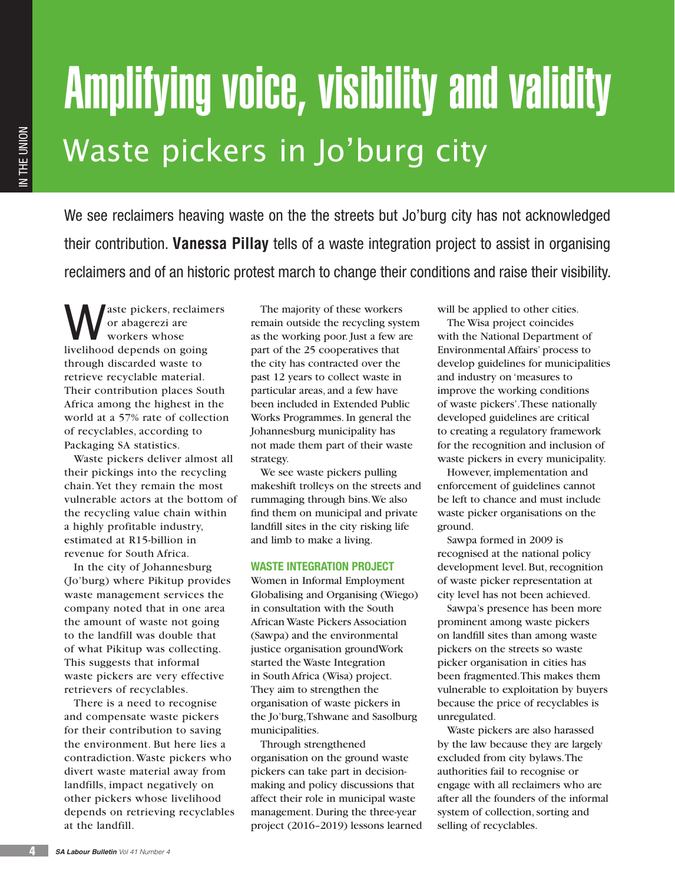# Amplifying voice, visibility and validity Waste pickers in Jo'burg city

We see reclaimers heaving waste on the the streets but Jo'burg city has not acknowledged their contribution. **Vanessa Pillay** tells of a waste integration project to assist in organising reclaimers and of an historic protest march to change their conditions and raise their visibility.

aste pickers, reclaimers or abagerezi are workers whose livelihood depends on going through discarded waste to retrieve recyclable material. Their contribution places South Africa among the highest in the world at a 57% rate of collection of recyclables, according to Packaging SA statistics.

Waste pickers deliver almost all their pickings into the recycling chain. Yet they remain the most vulnerable actors at the bottom of the recycling value chain within a highly profitable industry, estimated at R15-billion in revenue for South Africa.

In the city of Johannesburg (Jo'burg) where Pikitup provides waste management services the company noted that in one area the amount of waste not going to the landfill was double that of what Pikitup was collecting. This suggests that informal waste pickers are very effective retrievers of recyclables.

There is a need to recognise and compensate waste pickers for their contribution to saving the environment. But here lies a contradiction. Waste pickers who divert waste material away from landfills, impact negatively on other pickers whose livelihood depends on retrieving recyclables at the landfill.

The majority of these workers remain outside the recycling system as the working poor. Just a few are part of the 25 cooperatives that the city has contracted over the past 12 years to collect waste in particular areas, and a few have been included in Extended Public Works Programmes. In general the Johannesburg municipality has not made them part of their waste strategy.

We see waste pickers pulling makeshift trolleys on the streets and rummaging through bins. We also find them on municipal and private landfill sites in the city risking life and limb to make a living.

# **WASTE INTEGRATION PROJECT**

Women in Informal Employment Globalising and Organising (Wiego) in consultation with the South African Waste Pickers Association (Sawpa) and the environmental justice organisation groundWork started the Waste Integration in South Africa (Wisa) project. They aim to strengthen the organisation of waste pickers in the Jo'burg, Tshwane and Sasolburg municipalities.

Through strengthened organisation on the ground waste pickers can take part in decisionmaking and policy discussions that affect their role in municipal waste management. During the three-year project (2016–2019) lessons learned will be applied to other cities.

The Wisa project coincides with the National Department of Environmental Affairs' process to develop guidelines for municipalities and industry on 'measures to improve the working conditions of waste pickers'. These nationally developed guidelines are critical to creating a regulatory framework for the recognition and inclusion of waste pickers in every municipality.

However, implementation and enforcement of guidelines cannot be left to chance and must include waste picker organisations on the ground.

Sawpa formed in 2009 is recognised at the national policy development level. But, recognition of waste picker representation at city level has not been achieved.

Sawpa's presence has been more prominent among waste pickers on landfill sites than among waste pickers on the streets so waste picker organisation in cities has been fragmented. This makes them vulnerable to exploitation by buyers because the price of recyclables is unregulated.

Waste pickers are also harassed by the law because they are largely excluded from city bylaws. The authorities fail to recognise or engage with all reclaimers who are after all the founders of the informal system of collection, sorting and selling of recyclables.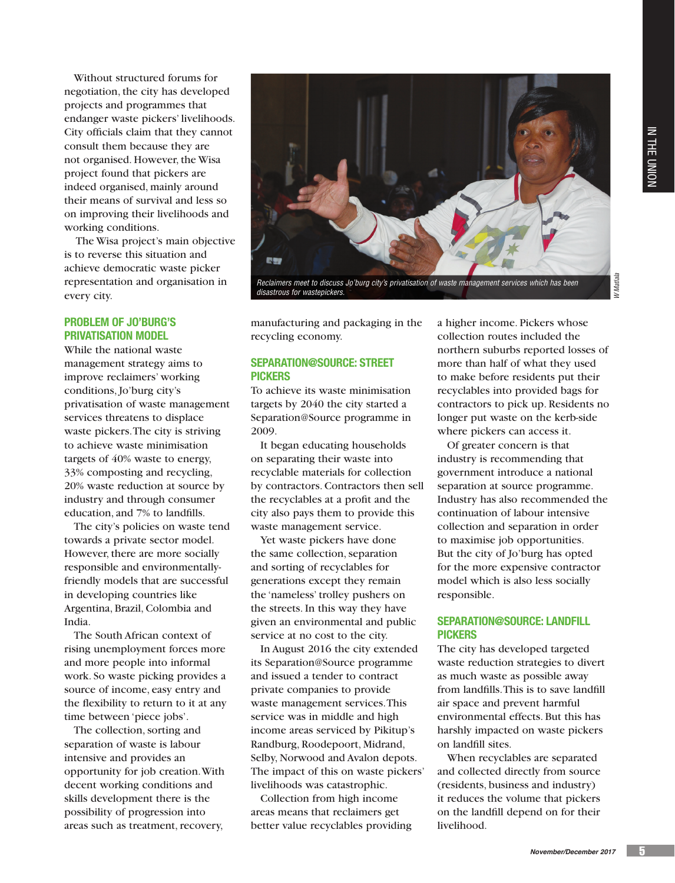*W Matlala*

Without structured forums for negotiation, the city has developed projects and programmes that endanger waste pickers' livelihoods. City officials claim that they cannot consult them because they are not organised. However, the Wisa project found that pickers are indeed organised, mainly around their means of survival and less so on improving their livelihoods and working conditions.

 The Wisa project's main objective is to reverse this situation and achieve democratic waste picker representation and organisation in every city.

# **PROBLEM OF JO'BURG'S PRIVATISATION MODEL**

While the national waste management strategy aims to improve reclaimers' working conditions, Jo'burg city's privatisation of waste management services threatens to displace waste pickers. The city is striving to achieve waste minimisation targets of 40% waste to energy, 33% composting and recycling, 20% waste reduction at source by industry and through consumer education, and 7% to landfills.

The city's policies on waste tend towards a private sector model. However, there are more socially responsible and environmentallyfriendly models that are successful in developing countries like Argentina, Brazil, Colombia and India.

The South African context of rising unemployment forces more and more people into informal work. So waste picking provides a source of income, easy entry and the flexibility to return to it at any time between 'piece jobs'.

The collection, sorting and separation of waste is labour intensive and provides an opportunity for job creation. With decent working conditions and skills development there is the possibility of progression into areas such as treatment, recovery,



*Reclaimers meet to discuss Jo'burg city's privatisation of waste management services which has been disastrous for wastepickers.*

manufacturing and packaging in the recycling economy.

# **SEPARATION@SOURCE: STREET PICKERS**

To achieve its waste minimisation targets by 2040 the city started a Separation@Source programme in 2009.

It began educating households on separating their waste into recyclable materials for collection by contractors. Contractors then sell the recyclables at a profit and the city also pays them to provide this waste management service.

Yet waste pickers have done the same collection, separation and sorting of recyclables for generations except they remain the 'nameless' trolley pushers on the streets. In this way they have given an environmental and public service at no cost to the city.

In August 2016 the city extended its Separation@Source programme and issued a tender to contract private companies to provide waste management services. This service was in middle and high income areas serviced by Pikitup's Randburg, Roodepoort, Midrand, Selby, Norwood and Avalon depots. The impact of this on waste pickers' livelihoods was catastrophic.

Collection from high income areas means that reclaimers get better value recyclables providing

a higher income. Pickers whose collection routes included the northern suburbs reported losses of more than half of what they used to make before residents put their recyclables into provided bags for contractors to pick up. Residents no longer put waste on the kerb-side where pickers can access it.

Of greater concern is that industry is recommending that government introduce a national separation at source programme. Industry has also recommended the continuation of labour intensive collection and separation in order to maximise job opportunities. But the city of Jo'burg has opted for the more expensive contractor model which is also less socially responsible.

## **SEPARATION@SOURCE: LANDFILL PICKERS**

The city has developed targeted waste reduction strategies to divert as much waste as possible away from landfills. This is to save landfill air space and prevent harmful environmental effects. But this has harshly impacted on waste pickers on landfill sites.

When recyclables are separated and collected directly from source (residents, business and industry) it reduces the volume that pickers on the landfill depend on for their livelihood.